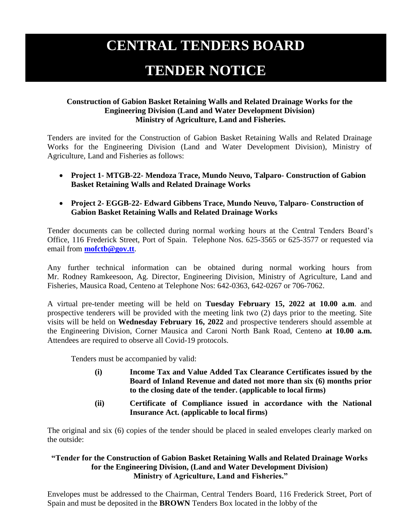## **CENTRAL TENDERS BOARD**

## **TENDER NOTICE**

## **Construction of Gabion Basket Retaining Walls and Related Drainage Works for the Engineering Division (Land and Water Development Division) Ministry of Agriculture, Land and Fisheries.**

Tenders are invited for the Construction of Gabion Basket Retaining Walls and Related Drainage Works for the Engineering Division (Land and Water Development Division), Ministry of Agriculture, Land and Fisheries as follows:

- **Project 1- MTGB-22- Mendoza Trace, Mundo Neuvo, Talparo- Construction of Gabion Basket Retaining Walls and Related Drainage Works**
- **Project 2- EGGB-22- Edward Gibbens Trace, Mundo Neuvo, Talparo- Construction of Gabion Basket Retaining Walls and Related Drainage Works**

Tender documents can be collected during normal working hours at the Central Tenders Board's Office, 116 Frederick Street, Port of Spain. Telephone Nos. 625-3565 or 625-3577 or requested via email from **[mofctb@gov.tt](mailto:mofctb@gov.tt)**.

Any further technical information can be obtained during normal working hours from Mr. Rodney Ramkeesoon, Ag. Director, Engineering Division, Ministry of Agriculture, Land and Fisheries, Mausica Road, Centeno at Telephone Nos: 642-0363, 642-0267 or 706-7062.

A virtual pre-tender meeting will be held on **Tuesday February 15, 2022 at 10.00 a.m**. and prospective tenderers will be provided with the meeting link two (2) days prior to the meeting. Site visits will be held on **Wednesday February 16, 2022** and prospective tenderers should assemble at the Engineering Division, Corner Mausica and Caroni North Bank Road, Centeno **at 10.00 a.m.** Attendees are required to observe all Covid-19 protocols.

Tenders must be accompanied by valid:

- **(i) Income Tax and Value Added Tax Clearance Certificates issued by the Board of Inland Revenue and dated not more than six (6) months prior to the closing date of the tender. (applicable to local firms)**
- **(ii) Certificate of Compliance issued in accordance with the National Insurance Act. (applicable to local firms)**

The original and six (6) copies of the tender should be placed in sealed envelopes clearly marked on the outside:

## **"Tender for the Construction of Gabion Basket Retaining Walls and Related Drainage Works for the Engineering Division, (Land and Water Development Division) Ministry of Agriculture, Land and Fisheries."**

Envelopes must be addressed to the Chairman, Central Tenders Board, 116 Frederick Street, Port of Spain and must be deposited in the **BROWN** Tenders Box located in the lobby of the